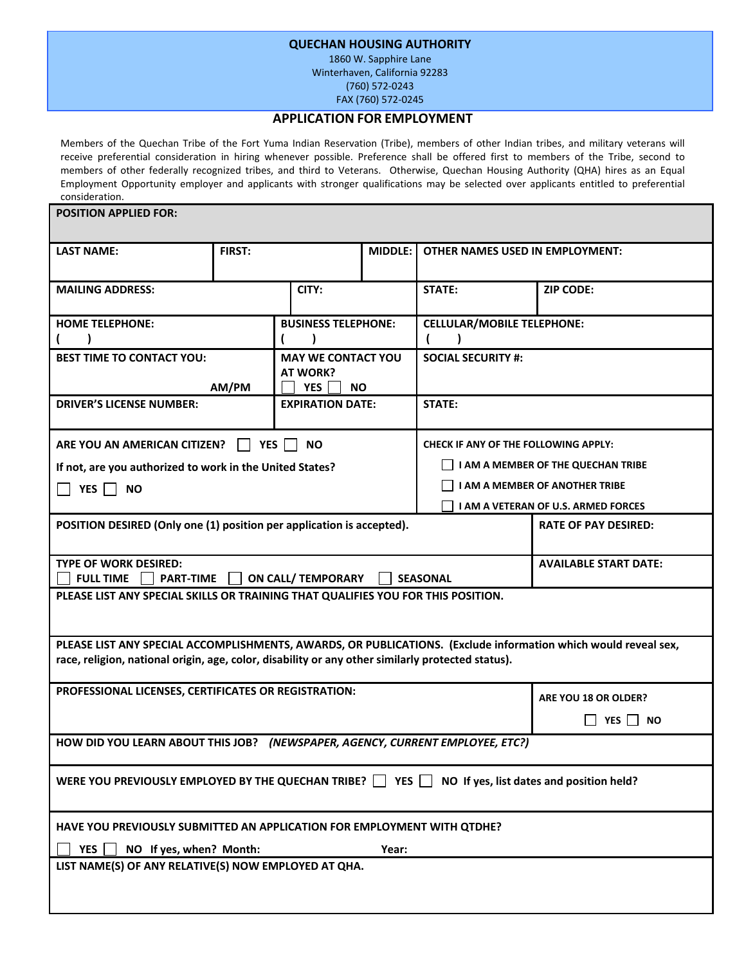#### **QUECHAN HOUSING AUTHORITY**

1860 W. Sapphire Lane Winterhaven, California 92283 (760) 572‐0243 FAX (760) 572‐0245

#### **APPLICATION FOR EMPLOYMENT**

Members of the Quechan Tribe of the Fort Yuma Indian Reservation (Tribe), members of other Indian tribes, and military veterans will receive preferential consideration in hiring whenever possible. Preference shall be offered first to members of the Tribe, second to members of other federally recognized tribes, and third to Veterans. Otherwise, Quechan Housing Authority (QHA) hires as an Equal Employment Opportunity employer and applicants with stronger qualifications may be selected over applicants entitled to preferential consideration.

| <b>POSITION APPLIED FOR:</b>                                                                                                                                                                                        |                            |                                                            |                                                 |                                                                                     |                         |  |
|---------------------------------------------------------------------------------------------------------------------------------------------------------------------------------------------------------------------|----------------------------|------------------------------------------------------------|-------------------------------------------------|-------------------------------------------------------------------------------------|-------------------------|--|
| <b>LAST NAME:</b>                                                                                                                                                                                                   | <b>FIRST:</b>              |                                                            | MIDDLE:                                         | <b>OTHER NAMES USED IN EMPLOYMENT:</b>                                              |                         |  |
| <b>MAILING ADDRESS:</b>                                                                                                                                                                                             |                            | CITY:                                                      |                                                 | <b>STATE:</b>                                                                       | <b>ZIP CODE:</b>        |  |
| <b>HOME TELEPHONE:</b>                                                                                                                                                                                              | <b>BUSINESS TELEPHONE:</b> |                                                            |                                                 | <b>CELLULAR/MOBILE TELEPHONE:</b>                                                   |                         |  |
| <b>BEST TIME TO CONTACT YOU:</b>                                                                                                                                                                                    | AM/PM                      | <b>MAY WE CONTACT YOU</b><br>AT WORK?<br><b>YES</b><br>NO. |                                                 | <b>SOCIAL SECURITY #:</b>                                                           |                         |  |
| <b>DRIVER'S LICENSE NUMBER:</b>                                                                                                                                                                                     |                            | <b>EXPIRATION DATE:</b>                                    |                                                 | STATE:                                                                              |                         |  |
| ARE YOU AN AMERICAN CITIZEN?                                                                                                                                                                                        | <b>YES</b>                 | <b>NO</b>                                                  |                                                 | <b>CHECK IF ANY OF THE FOLLOWING APPLY:</b>                                         |                         |  |
| If not, are you authorized to work in the United States?                                                                                                                                                            |                            |                                                            |                                                 | I AM A MEMBER OF THE QUECHAN TRIBE                                                  |                         |  |
| YES  <br><b>NO</b>                                                                                                                                                                                                  |                            |                                                            |                                                 | <b>I AM A MEMBER OF ANOTHER TRIBE</b><br><b>I AM A VETERAN OF U.S. ARMED FORCES</b> |                         |  |
| POSITION DESIRED (Only one (1) position per application is accepted).<br><b>RATE OF PAY DESIRED:</b>                                                                                                                |                            |                                                            |                                                 |                                                                                     |                         |  |
| <b>TYPE OF WORK DESIRED:</b><br><b>FULL TIME</b><br><b>PART-TIME</b><br><b>ON CALL/ TEMPORARY</b>                                                                                                                   |                            |                                                            | <b>AVAILABLE START DATE:</b><br><b>SEASONAL</b> |                                                                                     |                         |  |
| PLEASE LIST ANY SPECIAL SKILLS OR TRAINING THAT QUALIFIES YOU FOR THIS POSITION.                                                                                                                                    |                            |                                                            |                                                 |                                                                                     |                         |  |
| PLEASE LIST ANY SPECIAL ACCOMPLISHMENTS, AWARDS, OR PUBLICATIONS. (Exclude information which would reveal sex,<br>race, religion, national origin, age, color, disability or any other similarly protected status). |                            |                                                            |                                                 |                                                                                     |                         |  |
| PROFESSIONAL LICENSES, CERTIFICATES OR REGISTRATION:                                                                                                                                                                |                            |                                                            |                                                 |                                                                                     | ARE YOU 18 OR OLDER?    |  |
|                                                                                                                                                                                                                     |                            |                                                            |                                                 |                                                                                     | <b>YES</b><br><b>NO</b> |  |
| HOW DID YOU LEARN ABOUT THIS JOB? (NEWSPAPER, AGENCY, CURRENT EMPLOYEE, ETC?)                                                                                                                                       |                            |                                                            |                                                 |                                                                                     |                         |  |
| WERE YOU PREVIOUSLY EMPLOYED BY THE QUECHAN TRIBE? $\Box$ YES $\Box$ NO If yes, list dates and position held?                                                                                                       |                            |                                                            |                                                 |                                                                                     |                         |  |
| HAVE YOU PREVIOUSLY SUBMITTED AN APPLICATION FOR EMPLOYMENT WITH QTDHE?<br><b>YES</b><br>NO If yes, when? Month:<br>Year:                                                                                           |                            |                                                            |                                                 |                                                                                     |                         |  |
| LIST NAME(S) OF ANY RELATIVE(S) NOW EMPLOYED AT QHA.                                                                                                                                                                |                            |                                                            |                                                 |                                                                                     |                         |  |
|                                                                                                                                                                                                                     |                            |                                                            |                                                 |                                                                                     |                         |  |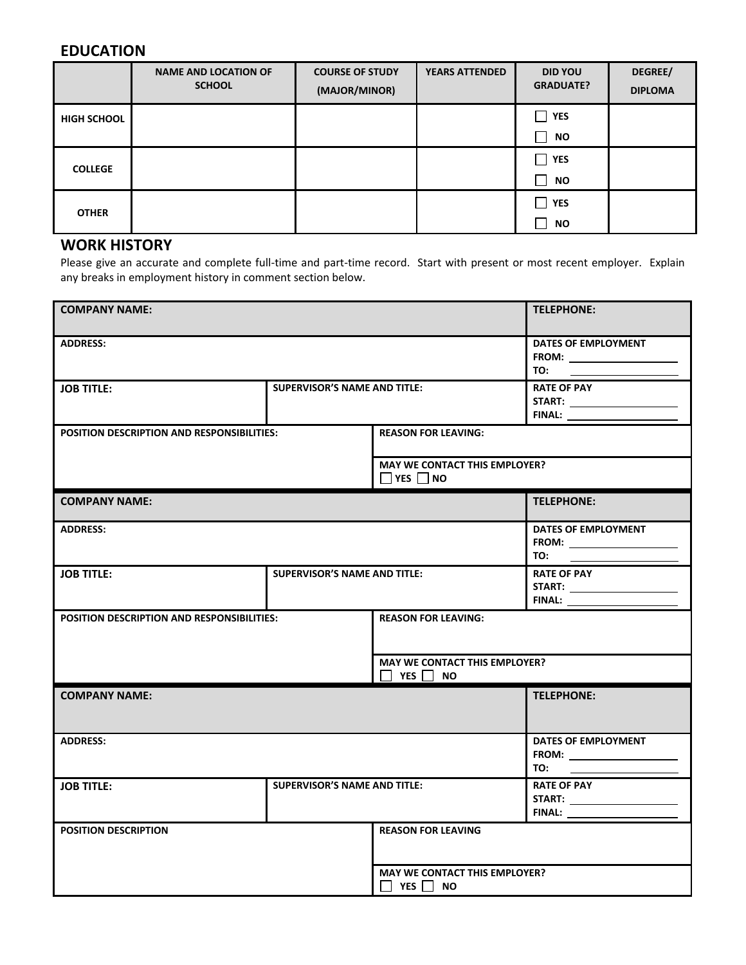### **EDUCATION**

|                    | <b>NAME AND LOCATION OF</b><br><b>SCHOOL</b> | <b>COURSE OF STUDY</b><br>(MAJOR/MINOR) | <b>YEARS ATTENDED</b> | <b>DID YOU</b><br><b>GRADUATE?</b> | DEGREE/<br><b>DIPLOMA</b> |
|--------------------|----------------------------------------------|-----------------------------------------|-----------------------|------------------------------------|---------------------------|
| <b>HIGH SCHOOL</b> |                                              |                                         |                       | <b>YES</b>                         |                           |
|                    |                                              |                                         |                       | <b>NO</b>                          |                           |
| <b>COLLEGE</b>     |                                              |                                         |                       | <b>YES</b>                         |                           |
|                    |                                              |                                         |                       | <b>NO</b>                          |                           |
| <b>OTHER</b>       |                                              |                                         |                       | <b>YES</b>                         |                           |
|                    |                                              |                                         |                       | <b>NO</b>                          |                           |

## **WORK HISTORY**

Please give an accurate and complete full-time and part-time record. Start with present or most recent employer. Explain any breaks in employment history in comment section below.

| <b>COMPANY NAME:</b>                              | <b>TELEPHONE:</b>                                                      |                                                              |                                                                                                                          |  |
|---------------------------------------------------|------------------------------------------------------------------------|--------------------------------------------------------------|--------------------------------------------------------------------------------------------------------------------------|--|
| <b>ADDRESS:</b>                                   | DATES OF EMPLOYMENT<br>FROM: ________________<br>$10:$ $\qquad \qquad$ |                                                              |                                                                                                                          |  |
| <b>JOB TITLE:</b>                                 | <b>SUPERVISOR'S NAME AND TITLE:</b>                                    |                                                              | <b>RATE OF PAY</b><br>START: ________________________                                                                    |  |
| <b>POSITION DESCRIPTION AND RESPONSIBILITIES:</b> |                                                                        | <b>REASON FOR LEAVING:</b>                                   |                                                                                                                          |  |
|                                                   | <b>MAY WE CONTACT THIS EMPLOYER?</b><br>$\Box$ YES $\Box$ NO           |                                                              |                                                                                                                          |  |
| <b>COMPANY NAME:</b>                              |                                                                        |                                                              | <b>TELEPHONE:</b>                                                                                                        |  |
| <b>ADDRESS:</b>                                   |                                                                        |                                                              | DATES OF EMPLOYMENT<br>$FROM: \begin{tabular}{ c c c } \hline \multicolumn{3}{ c }{\textbf{FROM}}: \end{tabular}$<br>TO: |  |
| <b>JOB TITLE:</b>                                 | <b>SUPERVISOR'S NAME AND TITLE:</b>                                    |                                                              | <b>RATE OF PAY</b>                                                                                                       |  |
| <b>POSITION DESCRIPTION AND RESPONSIBILITIES:</b> |                                                                        | <b>REASON FOR LEAVING:</b>                                   |                                                                                                                          |  |
|                                                   |                                                                        | <b>MAY WE CONTACT THIS EMPLOYER?</b><br>II YESI INO          |                                                                                                                          |  |
| <b>COMPANY NAME:</b>                              |                                                                        |                                                              | <b>TELEPHONE:</b>                                                                                                        |  |
| <b>ADDRESS:</b>                                   |                                                                        | DATES OF EMPLOYMENT<br>TO:                                   |                                                                                                                          |  |
| <b>JOB TITLE:</b>                                 | <b>SUPERVISOR'S NAME AND TITLE:</b>                                    |                                                              | <b>RATE OF PAY</b><br><b>START:</b> ______________________                                                               |  |
| <b>POSITION DESCRIPTION</b>                       |                                                                        | <b>REASON FOR LEAVING</b>                                    |                                                                                                                          |  |
|                                                   |                                                                        | <b>MAY WE CONTACT THIS EMPLOYER?</b><br>$\Box$ YES $\Box$ NO |                                                                                                                          |  |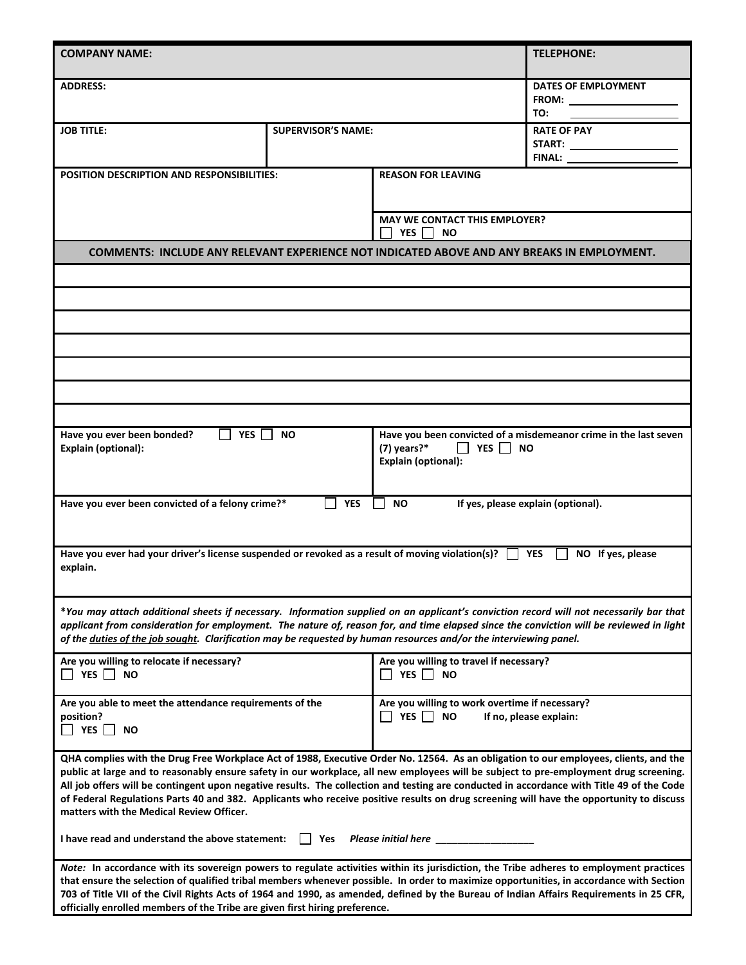| <b>COMPANY NAME:</b>                                                                                                                                                                                                                                                                                                                                                                                                                                                                                                                                                                                               |                                                                                                                   |                                                                                        | <b>TELEPHONE:</b>                                                |  |
|--------------------------------------------------------------------------------------------------------------------------------------------------------------------------------------------------------------------------------------------------------------------------------------------------------------------------------------------------------------------------------------------------------------------------------------------------------------------------------------------------------------------------------------------------------------------------------------------------------------------|-------------------------------------------------------------------------------------------------------------------|----------------------------------------------------------------------------------------|------------------------------------------------------------------|--|
| <b>ADDRESS:</b>                                                                                                                                                                                                                                                                                                                                                                                                                                                                                                                                                                                                    |                                                                                                                   |                                                                                        | DATES OF EMPLOYMENT<br>TO:                                       |  |
| <b>JOB TITLE:</b>                                                                                                                                                                                                                                                                                                                                                                                                                                                                                                                                                                                                  | <b>SUPERVISOR'S NAME:</b>                                                                                         |                                                                                        | <b>RATE OF PAY</b><br><b>FINAL:</b>                              |  |
| <b>POSITION DESCRIPTION AND RESPONSIBILITIES:</b>                                                                                                                                                                                                                                                                                                                                                                                                                                                                                                                                                                  |                                                                                                                   | <b>REASON FOR LEAVING</b>                                                              |                                                                  |  |
|                                                                                                                                                                                                                                                                                                                                                                                                                                                                                                                                                                                                                    |                                                                                                                   | <b>MAY WE CONTACT THIS EMPLOYER?</b><br><b>YES</b><br><b>NO</b>                        |                                                                  |  |
| COMMENTS: INCLUDE ANY RELEVANT EXPERIENCE NOT INDICATED ABOVE AND ANY BREAKS IN EMPLOYMENT.                                                                                                                                                                                                                                                                                                                                                                                                                                                                                                                        |                                                                                                                   |                                                                                        |                                                                  |  |
|                                                                                                                                                                                                                                                                                                                                                                                                                                                                                                                                                                                                                    |                                                                                                                   |                                                                                        |                                                                  |  |
|                                                                                                                                                                                                                                                                                                                                                                                                                                                                                                                                                                                                                    |                                                                                                                   |                                                                                        |                                                                  |  |
|                                                                                                                                                                                                                                                                                                                                                                                                                                                                                                                                                                                                                    |                                                                                                                   |                                                                                        |                                                                  |  |
|                                                                                                                                                                                                                                                                                                                                                                                                                                                                                                                                                                                                                    |                                                                                                                   |                                                                                        |                                                                  |  |
|                                                                                                                                                                                                                                                                                                                                                                                                                                                                                                                                                                                                                    |                                                                                                                   |                                                                                        |                                                                  |  |
|                                                                                                                                                                                                                                                                                                                                                                                                                                                                                                                                                                                                                    |                                                                                                                   |                                                                                        |                                                                  |  |
| Have you ever been bonded?<br>YES I I<br><b>NO</b><br><b>Explain (optional):</b>                                                                                                                                                                                                                                                                                                                                                                                                                                                                                                                                   |                                                                                                                   | $(7)$ years?*<br>$\Box$ YES $\Box$ NO<br><b>Explain (optional):</b>                    | Have you been convicted of a misdemeanor crime in the last seven |  |
|                                                                                                                                                                                                                                                                                                                                                                                                                                                                                                                                                                                                                    | <b>YES</b><br>Have you ever been convicted of a felony crime?*<br><b>NO</b><br>If yes, please explain (optional). |                                                                                        |                                                                  |  |
| Have you ever had your driver's license suspended or revoked as a result of moving violation(s)? $\Box$ YES<br>NO If yes, please<br>explain.                                                                                                                                                                                                                                                                                                                                                                                                                                                                       |                                                                                                                   |                                                                                        |                                                                  |  |
| *You may attach additional sheets if necessary. Information supplied on an applicant's conviction record will not necessarily bar that<br>applicant from consideration for employment. The nature of, reason for, and time elapsed since the conviction will be reviewed in light<br>of the duties of the job sought. Clarification may be requested by human resources and/or the interviewing panel.                                                                                                                                                                                                             |                                                                                                                   |                                                                                        |                                                                  |  |
| Are you willing to relocate if necessary?<br>YES NO                                                                                                                                                                                                                                                                                                                                                                                                                                                                                                                                                                |                                                                                                                   | Are you willing to travel if necessary?<br>YES NO                                      |                                                                  |  |
| Are you able to meet the attendance requirements of the<br>position?<br>$\Box$ YES $\Box$ NO                                                                                                                                                                                                                                                                                                                                                                                                                                                                                                                       |                                                                                                                   | Are you willing to work overtime if necessary?<br>I YES I NO<br>If no, please explain: |                                                                  |  |
| QHA complies with the Drug Free Workplace Act of 1988, Executive Order No. 12564. As an obligation to our employees, clients, and the<br>public at large and to reasonably ensure safety in our workplace, all new employees will be subject to pre-employment drug screening.<br>All job offers will be contingent upon negative results. The collection and testing are conducted in accordance with Title 49 of the Code<br>of Federal Regulations Parts 40 and 382. Applicants who receive positive results on drug screening will have the opportunity to discuss<br>matters with the Medical Review Officer. |                                                                                                                   |                                                                                        |                                                                  |  |
| I have read and understand the above statement: $\Box$<br>Yes                                                                                                                                                                                                                                                                                                                                                                                                                                                                                                                                                      |                                                                                                                   |                                                                                        |                                                                  |  |
| Note: In accordance with its sovereign powers to regulate activities within its jurisdiction, the Tribe adheres to employment practices<br>that ensure the selection of qualified tribal members whenever possible. In order to maximize opportunities, in accordance with Section<br>703 of Title VII of the Civil Rights Acts of 1964 and 1990, as amended, defined by the Bureau of Indian Affairs Requirements in 25 CFR,<br>officially enrolled members of the Tribe are given first hiring preference.                                                                                                       |                                                                                                                   |                                                                                        |                                                                  |  |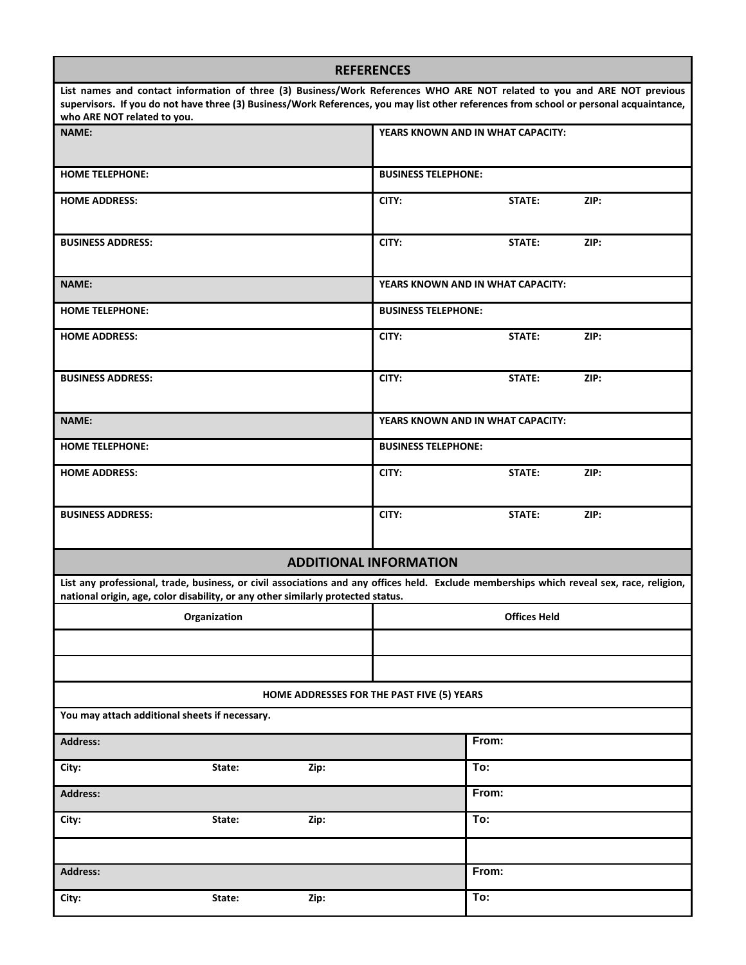| <b>REFERENCES</b>                                                                                                                                                                                                                                                                                  |                            |                                   |      |
|----------------------------------------------------------------------------------------------------------------------------------------------------------------------------------------------------------------------------------------------------------------------------------------------------|----------------------------|-----------------------------------|------|
| List names and contact information of three (3) Business/Work References WHO ARE NOT related to you and ARE NOT previous<br>supervisors. If you do not have three (3) Business/Work References, you may list other references from school or personal acquaintance,<br>who ARE NOT related to you. |                            |                                   |      |
| <b>NAME:</b>                                                                                                                                                                                                                                                                                       |                            | YEARS KNOWN AND IN WHAT CAPACITY: |      |
| <b>HOME TELEPHONE:</b>                                                                                                                                                                                                                                                                             | <b>BUSINESS TELEPHONE:</b> |                                   |      |
| <b>HOME ADDRESS:</b>                                                                                                                                                                                                                                                                               | CITY:                      | STATE:                            | ZIP: |
| <b>BUSINESS ADDRESS:</b>                                                                                                                                                                                                                                                                           | CITY:                      | STATE:                            | ZIP: |
| <b>NAME:</b>                                                                                                                                                                                                                                                                                       |                            | YEARS KNOWN AND IN WHAT CAPACITY: |      |
| <b>HOME TELEPHONE:</b>                                                                                                                                                                                                                                                                             | <b>BUSINESS TELEPHONE:</b> |                                   |      |
| <b>HOME ADDRESS:</b>                                                                                                                                                                                                                                                                               | CITY:                      | STATE:                            | ZIP: |
| <b>BUSINESS ADDRESS:</b>                                                                                                                                                                                                                                                                           | CITY:                      | STATE:                            | ZIP: |
| <b>NAME:</b>                                                                                                                                                                                                                                                                                       |                            | YEARS KNOWN AND IN WHAT CAPACITY: |      |
| <b>HOME TELEPHONE:</b>                                                                                                                                                                                                                                                                             | <b>BUSINESS TELEPHONE:</b> |                                   |      |
| <b>HOME ADDRESS:</b>                                                                                                                                                                                                                                                                               | CITY:                      | STATE:                            | ZIP: |
| <b>BUSINESS ADDRESS:</b>                                                                                                                                                                                                                                                                           | CITY:                      | STATE:                            | ZIP: |
| <b>ADDITIONAL INFORMATION</b>                                                                                                                                                                                                                                                                      |                            |                                   |      |
| List any professional, trade, business, or civil associations and any offices held. Exclude memberships which reveal sex, race, religion,<br>national origin, age, color disability, or any other similarly protected status.                                                                      |                            |                                   |      |
| Organization                                                                                                                                                                                                                                                                                       | <b>Offices Held</b>        |                                   |      |
|                                                                                                                                                                                                                                                                                                    |                            |                                   |      |
|                                                                                                                                                                                                                                                                                                    |                            |                                   |      |
| HOME ADDRESSES FOR THE PAST FIVE (5) YEARS                                                                                                                                                                                                                                                         |                            |                                   |      |
| You may attach additional sheets if necessary.                                                                                                                                                                                                                                                     |                            |                                   |      |
| <b>Address:</b>                                                                                                                                                                                                                                                                                    |                            | From:                             |      |
| City:<br>State:<br>Zip:                                                                                                                                                                                                                                                                            |                            | To:                               |      |
| <b>Address:</b>                                                                                                                                                                                                                                                                                    |                            | From:                             |      |
| City:<br>State:<br>Zip:                                                                                                                                                                                                                                                                            |                            | To:                               |      |
|                                                                                                                                                                                                                                                                                                    |                            |                                   |      |
| <b>Address:</b>                                                                                                                                                                                                                                                                                    |                            | From:                             |      |
| City:<br>State:<br>Zip:                                                                                                                                                                                                                                                                            |                            | To:                               |      |

г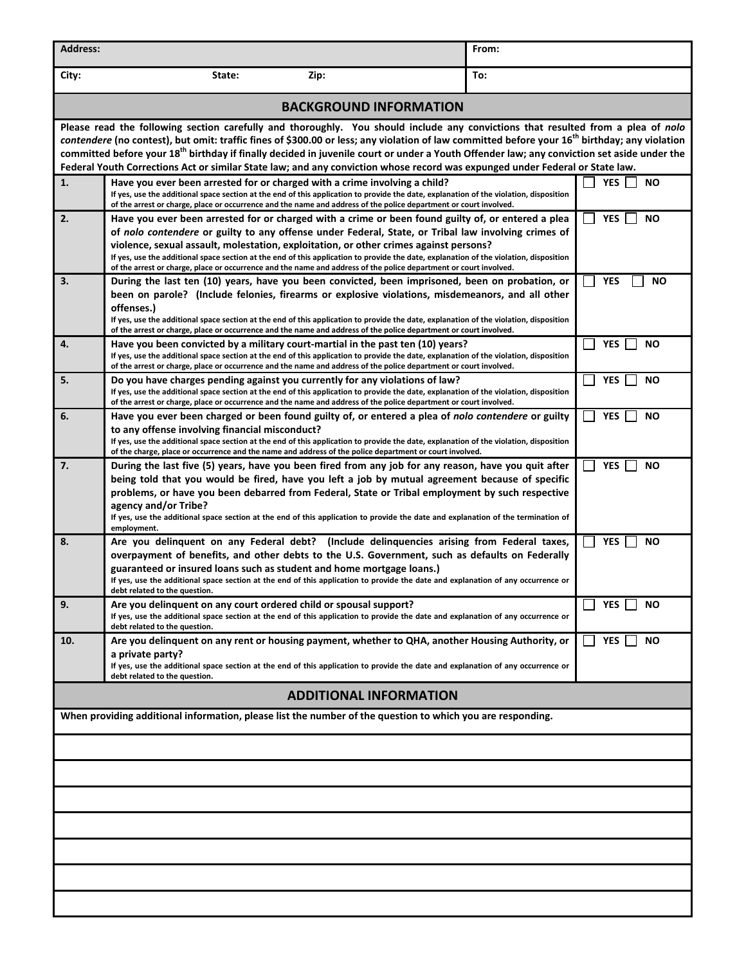| <b>Address:</b>                                                                                                                                                                                                                                                                                                                                                                                                                                                                                                                                                                         |                                                                                                                                                                                                                                                                                                                                                                                                                                                                                                                                                                                       | From:                   |  |  |  |
|-----------------------------------------------------------------------------------------------------------------------------------------------------------------------------------------------------------------------------------------------------------------------------------------------------------------------------------------------------------------------------------------------------------------------------------------------------------------------------------------------------------------------------------------------------------------------------------------|---------------------------------------------------------------------------------------------------------------------------------------------------------------------------------------------------------------------------------------------------------------------------------------------------------------------------------------------------------------------------------------------------------------------------------------------------------------------------------------------------------------------------------------------------------------------------------------|-------------------------|--|--|--|
| City:                                                                                                                                                                                                                                                                                                                                                                                                                                                                                                                                                                                   | State:<br>Zip:                                                                                                                                                                                                                                                                                                                                                                                                                                                                                                                                                                        | To:                     |  |  |  |
|                                                                                                                                                                                                                                                                                                                                                                                                                                                                                                                                                                                         | <b>BACKGROUND INFORMATION</b>                                                                                                                                                                                                                                                                                                                                                                                                                                                                                                                                                         |                         |  |  |  |
| Please read the following section carefully and thoroughly. You should include any convictions that resulted from a plea of nolo<br>contendere (no contest), but omit: traffic fines of \$300.00 or less; any violation of law committed before your 16 <sup>th</sup> birthday; any violation<br>committed before your 18 <sup>th</sup> birthday if finally decided in juvenile court or under a Youth Offender law; any conviction set aside under the<br>Federal Youth Corrections Act or similar State law; and any conviction whose record was expunged under Federal or State law. |                                                                                                                                                                                                                                                                                                                                                                                                                                                                                                                                                                                       |                         |  |  |  |
| 1.                                                                                                                                                                                                                                                                                                                                                                                                                                                                                                                                                                                      | Have you ever been arrested for or charged with a crime involving a child?<br>If yes, use the additional space section at the end of this application to provide the date, explanation of the violation, disposition<br>of the arrest or charge, place or occurrence and the name and address of the police department or court involved.                                                                                                                                                                                                                                             | <b>NO</b><br><b>YES</b> |  |  |  |
| 2.                                                                                                                                                                                                                                                                                                                                                                                                                                                                                                                                                                                      | Have you ever been arrested for or charged with a crime or been found guilty of, or entered a plea<br><b>YES</b><br>NΟ<br>of nolo contendere or guilty to any offense under Federal, State, or Tribal law involving crimes of<br>violence, sexual assault, molestation, exploitation, or other crimes against persons?<br>If yes, use the additional space section at the end of this application to provide the date, explanation of the violation, disposition<br>of the arrest or charge, place or occurrence and the name and address of the police department or court involved. |                         |  |  |  |
| 3.                                                                                                                                                                                                                                                                                                                                                                                                                                                                                                                                                                                      | During the last ten (10) years, have you been convicted, been imprisoned, been on probation, or<br><b>YES</b><br><b>NO</b><br>been on parole? (Include felonies, firearms or explosive violations, misdemeanors, and all other<br>offenses.)<br>If yes, use the additional space section at the end of this application to provide the date, explanation of the violation, disposition<br>of the arrest or charge, place or occurrence and the name and address of the police department or court involved.                                                                           |                         |  |  |  |
| 4.                                                                                                                                                                                                                                                                                                                                                                                                                                                                                                                                                                                      | Have you been convicted by a military court-martial in the past ten (10) years?<br>If yes, use the additional space section at the end of this application to provide the date, explanation of the violation, disposition<br>of the arrest or charge, place or occurrence and the name and address of the police department or court involved.                                                                                                                                                                                                                                        | <b>YES</b><br><b>NO</b> |  |  |  |
| 5.                                                                                                                                                                                                                                                                                                                                                                                                                                                                                                                                                                                      | Do you have charges pending against you currently for any violations of law?<br>If yes, use the additional space section at the end of this application to provide the date, explanation of the violation, disposition<br>of the arrest or charge, place or occurrence and the name and address of the police department or court involved.                                                                                                                                                                                                                                           | <b>YES</b><br><b>NO</b> |  |  |  |
| 6.                                                                                                                                                                                                                                                                                                                                                                                                                                                                                                                                                                                      | Have you ever been charged or been found guilty of, or entered a plea of nolo contendere or guilty<br>to any offense involving financial misconduct?<br>If yes, use the additional space section at the end of this application to provide the date, explanation of the violation, disposition<br>of the charge, place or occurrence and the name and address of the police department or court involved.                                                                                                                                                                             | <b>YES</b><br><b>NO</b> |  |  |  |
| 7.                                                                                                                                                                                                                                                                                                                                                                                                                                                                                                                                                                                      | During the last five (5) years, have you been fired from any job for any reason, have you quit after<br>being told that you would be fired, have you left a job by mutual agreement because of specific<br>problems, or have you been debarred from Federal, State or Tribal employment by such respective<br>agency and/or Tribe?<br>If yes, use the additional space section at the end of this application to provide the date and explanation of the termination of<br>employment.                                                                                                | <b>YES</b><br>ΝO        |  |  |  |
| 8.                                                                                                                                                                                                                                                                                                                                                                                                                                                                                                                                                                                      | Are you delinquent on any Federal debt? (Include delinquencies arising from Federal taxes,<br><b>YES</b><br><b>NO</b><br>overpayment of benefits, and other debts to the U.S. Government, such as defaults on Federally<br>guaranteed or insured loans such as student and home mortgage loans.)<br>If yes, use the additional space section at the end of this application to provide the date and explanation of any occurrence or<br>debt related to the question.                                                                                                                 |                         |  |  |  |
| 9.                                                                                                                                                                                                                                                                                                                                                                                                                                                                                                                                                                                      | Are you delinguent on any court ordered child or spousal support?<br>If yes, use the additional space section at the end of this application to provide the date and explanation of any occurrence or<br>debt related to the question.                                                                                                                                                                                                                                                                                                                                                | YES<br>NΟ               |  |  |  |
| 10.                                                                                                                                                                                                                                                                                                                                                                                                                                                                                                                                                                                     | Are you delinquent on any rent or housing payment, whether to QHA, another Housing Authority, or<br>a private party?<br>If yes, use the additional space section at the end of this application to provide the date and explanation of any occurrence or                                                                                                                                                                                                                                                                                                                              | <b>YES</b><br><b>NO</b> |  |  |  |
| debt related to the question.<br><b>ADDITIONAL INFORMATION</b>                                                                                                                                                                                                                                                                                                                                                                                                                                                                                                                          |                                                                                                                                                                                                                                                                                                                                                                                                                                                                                                                                                                                       |                         |  |  |  |
| When providing additional information, please list the number of the question to which you are responding.                                                                                                                                                                                                                                                                                                                                                                                                                                                                              |                                                                                                                                                                                                                                                                                                                                                                                                                                                                                                                                                                                       |                         |  |  |  |
|                                                                                                                                                                                                                                                                                                                                                                                                                                                                                                                                                                                         |                                                                                                                                                                                                                                                                                                                                                                                                                                                                                                                                                                                       |                         |  |  |  |
|                                                                                                                                                                                                                                                                                                                                                                                                                                                                                                                                                                                         |                                                                                                                                                                                                                                                                                                                                                                                                                                                                                                                                                                                       |                         |  |  |  |
|                                                                                                                                                                                                                                                                                                                                                                                                                                                                                                                                                                                         |                                                                                                                                                                                                                                                                                                                                                                                                                                                                                                                                                                                       |                         |  |  |  |
|                                                                                                                                                                                                                                                                                                                                                                                                                                                                                                                                                                                         |                                                                                                                                                                                                                                                                                                                                                                                                                                                                                                                                                                                       |                         |  |  |  |
|                                                                                                                                                                                                                                                                                                                                                                                                                                                                                                                                                                                         |                                                                                                                                                                                                                                                                                                                                                                                                                                                                                                                                                                                       |                         |  |  |  |
|                                                                                                                                                                                                                                                                                                                                                                                                                                                                                                                                                                                         |                                                                                                                                                                                                                                                                                                                                                                                                                                                                                                                                                                                       |                         |  |  |  |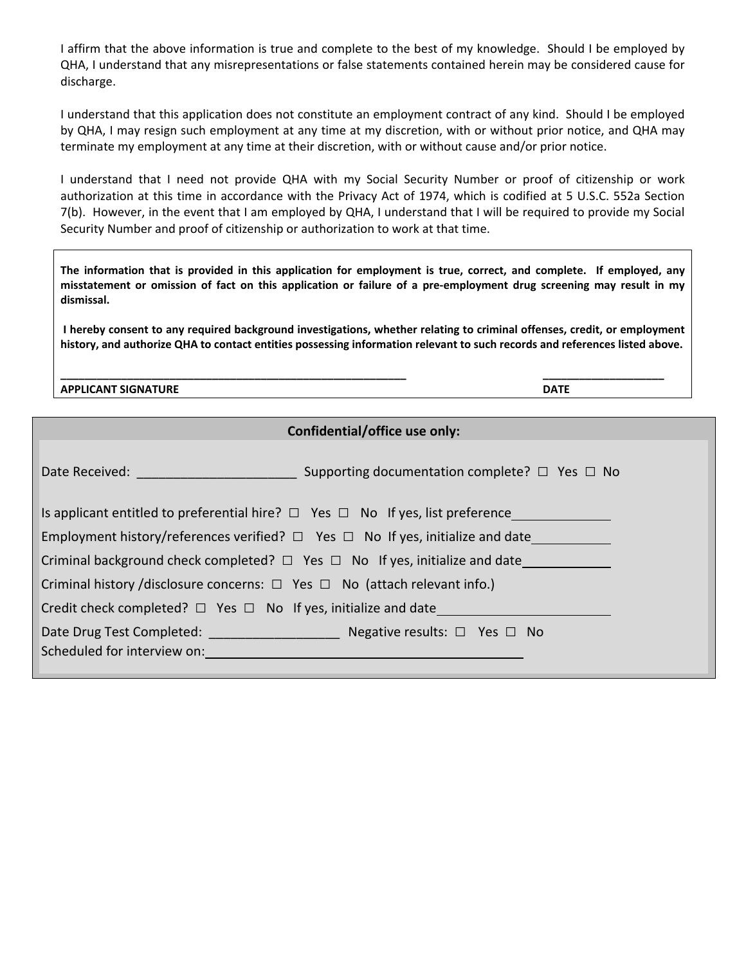I affirm that the above information is true and complete to the best of my knowledge. Should I be employed by QHA, I understand that any misrepresentations or false statements contained herein may be considered cause for discharge.

I understand that this application does not constitute an employment contract of any kind. Should I be employed by QHA, I may resign such employment at any time at my discretion, with or without prior notice, and QHA may terminate my employment at any time at their discretion, with or without cause and/or prior notice.

I understand that I need not provide QHA with my Social Security Number or proof of citizenship or work authorization at this time in accordance with the Privacy Act of 1974, which is codified at 5 U.S.C. 552a Section 7(b). However, in the event that I am employed by QHA, I understand that I will be required to provide my Social Security Number and proof of citizenship or authorization to work at that time.

The information that is provided in this application for employment is true, correct, and complete. If employed, any misstatement or omission of fact on this application or failure of a pre-employment drug screening may result in my **dismissal.** 

I hereby consent to any required background investigations, whether relating to criminal offenses, credit, or employment history, and authorize QHA to contact entities possessing information relevant to such records and references listed above.

**\_\_\_\_\_\_\_\_\_\_\_\_\_\_\_\_\_\_\_\_\_\_\_\_\_\_\_\_\_\_\_\_\_\_\_\_\_\_\_\_\_\_\_\_\_\_\_\_\_\_\_\_\_\_\_\_\_ \_\_\_\_\_\_\_\_\_\_\_\_\_\_\_\_\_\_\_\_ APPLICANT SIGNATURE DATE**

#### **Confidential/office use only:**

| Date Received: Web and the contract of the contract of the contract of the contract of the contract of the contract of the contract of the contract of the contract of the contract of the contract of the contract of the con | Supporting documentation complete? $\Box$ Yes $\Box$ No                                  |  |  |
|--------------------------------------------------------------------------------------------------------------------------------------------------------------------------------------------------------------------------------|------------------------------------------------------------------------------------------|--|--|
|                                                                                                                                                                                                                                | Is applicant entitled to preferential hire? $\Box$ Yes $\Box$ No If yes, list preference |  |  |
| Employment history/references verified? $\Box$ Yes $\Box$ No If yes, initialize and date                                                                                                                                       |                                                                                          |  |  |
| Criminal background check completed? $\Box$ Yes $\Box$ No If yes, initialize and date                                                                                                                                          |                                                                                          |  |  |
| Criminal history /disclosure concerns: $\Box$ Yes $\Box$ No (attach relevant info.)                                                                                                                                            |                                                                                          |  |  |
| Credit check completed? $\Box$ Yes $\Box$ No If yes, initialize and date_                                                                                                                                                      |                                                                                          |  |  |
| Scheduled for interview on: example and a series of the state of the state of the state of the state of the state of the state of the state of the state of the state of the state of the state of the state of the state of t |                                                                                          |  |  |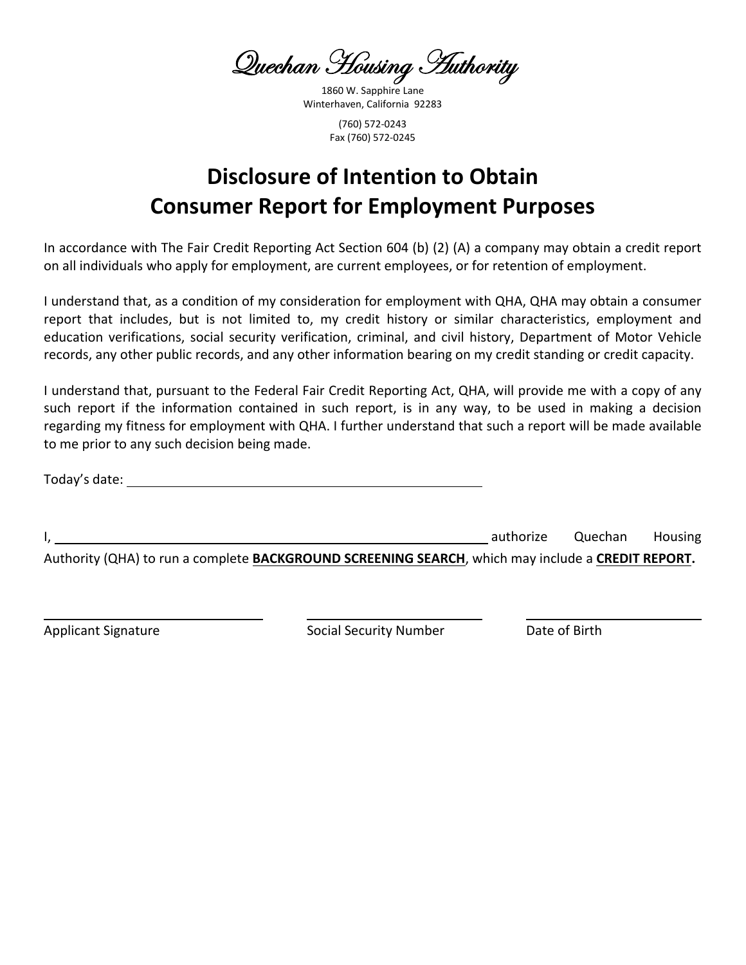Quechan Housing *H*uthority

1860 W. Sapphire Lane Winterhaven, California 92283 (760) 572‐0243 Fax (760) 572‐0245

# **Disclosure of Intention to Obtain Consumer Report for Employment Purposes**

In accordance with The Fair Credit Reporting Act Section 604 (b) (2) (A) a company may obtain a credit report on all individuals who apply for employment, are current employees, or for retention of employment.

I understand that, as a condition of my consideration for employment with QHA, QHA may obtain a consumer report that includes, but is not limited to, my credit history or similar characteristics, employment and education verifications, social security verification, criminal, and civil history, Department of Motor Vehicle records, any other public records, and any other information bearing on my credit standing or credit capacity.

I understand that, pursuant to the Federal Fair Credit Reporting Act, QHA, will provide me with a copy of any such report if the information contained in such report, is in any way, to be used in making a decision regarding my fitness for employment with QHA. I further understand that such a report will be made available to me prior to any such decision being made.

Today's date:

I, **I**, the state of the state of the state of the state of the state of the state of the state of the state of the state of the state of the state of the state of the state of the state of the state of the state of the st

Authority (QHA) to run a complete **BACKGROUND SCREENING SEARCH**, which may include a **CREDIT REPORT.**

Applicant Signature Social Security Number Date of Birth